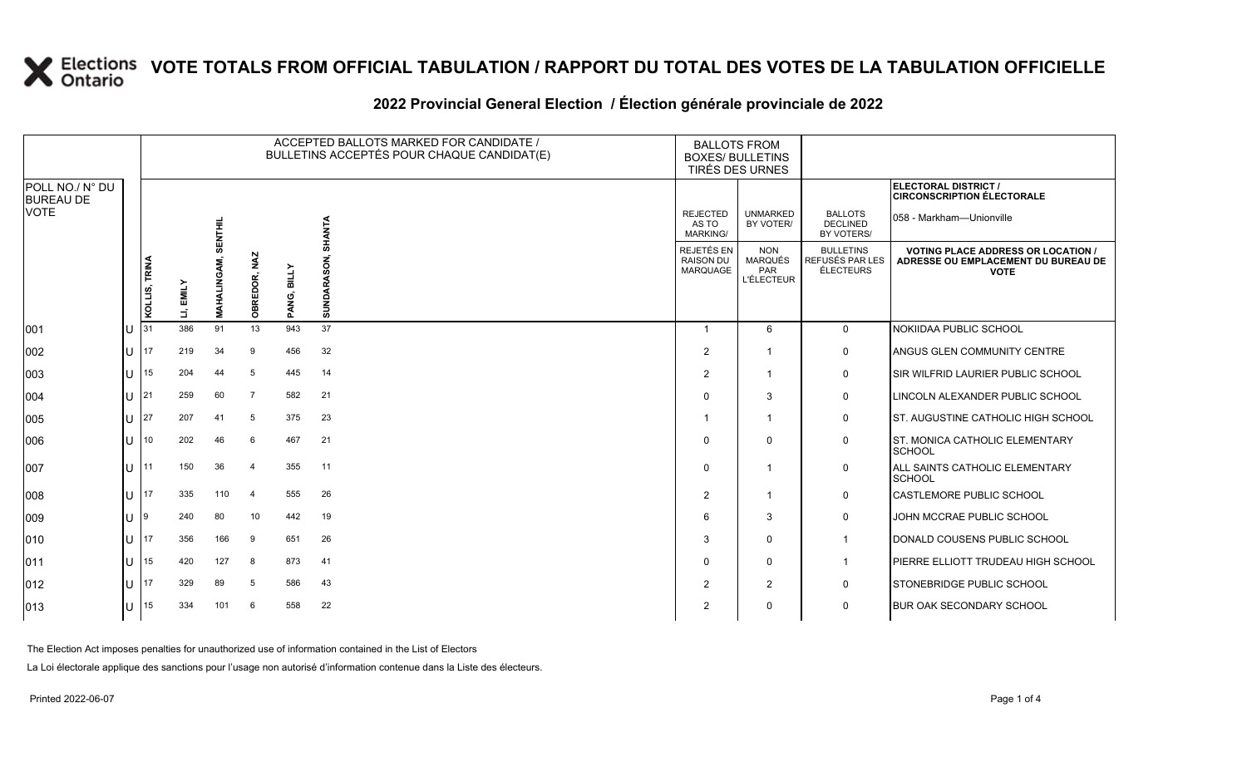### **2022 Provincial General Election / Élection générale provinciale de 2022**

|                                     |     |               |           |                    |                |             | ACCEPTED BALLOTS MARKED FOR CANDIDATE /<br>BULLETINS ACCEPTÉS POUR CHAQUE CANDIDAT(E) | <b>BALLOTS FROM</b><br><b>BOXES/ BULLETINS</b><br>TIRÉS DES URNES |                                                          |                                                  |                                                                                                 |
|-------------------------------------|-----|---------------|-----------|--------------------|----------------|-------------|---------------------------------------------------------------------------------------|-------------------------------------------------------------------|----------------------------------------------------------|--------------------------------------------------|-------------------------------------------------------------------------------------------------|
| POLL NO./ N° DU<br><b>BUREAU DE</b> |     |               |           |                    |                |             |                                                                                       |                                                                   |                                                          |                                                  | ELECTORAL DISTRICT /<br><b>CIRCONSCRIPTION ÉLECTORALE</b>                                       |
| <b>VOTE</b>                         |     |               |           | <b>SENTHIL</b>     |                |             | SHANTA                                                                                | <b>REJECTED</b><br>AS TO<br><b>MARKING/</b>                       | <b>UNMARKED</b><br>BY VOTER/                             | <b>BALLOTS</b><br><b>DECLINED</b><br>BY VOTERS/  | 058 - Markham—Unionville                                                                        |
|                                     |     | KOLLIS, TRINA | LI, EMILY | <b>MAHALINGAM,</b> | OBREDOR, NAZ   | PANG, BILLY | SUNDARASON,                                                                           | REJETÉS EN<br><b>RAISON DU</b><br>MARQUAGE                        | <b>NON</b><br><b>MARQUÉS</b><br>PAR<br><b>L'ÉLECTEUR</b> | <b>BULLETINS</b><br>REFUSÉS PAR LES<br>ÉLECTEURS | <b>VOTING PLACE ADDRESS OR LOCATION /</b><br>ADRESSE OU EMPLACEMENT DU BUREAU DE<br><b>VOTE</b> |
| 001                                 | lu  | 31            | 386       | 91                 | 13             | 943         | 37                                                                                    | $\overline{1}$                                                    | 6                                                        | $\mathbf 0$                                      | NOKIIDAA PUBLIC SCHOOL                                                                          |
| 002                                 | lu  | 17            | 219       | 34                 | -9             | 456         | 32                                                                                    | $\overline{2}$                                                    | $\overline{1}$                                           | $\mathbf 0$                                      | ANGUS GLEN COMMUNITY CENTRE                                                                     |
| 003                                 | Iυ. | 15            | 204       | 44                 | 5              | 445         | 14                                                                                    | 2                                                                 | $\overline{1}$                                           | $\mathbf 0$                                      | SIR WILFRID LAURIER PUBLIC SCHOOL                                                               |
| 004                                 | lu  | 21            | 259       | 60                 | 7              | 582         | 21                                                                                    | $\Omega$                                                          | 3                                                        | $\mathbf 0$                                      | LINCOLN ALEXANDER PUBLIC SCHOOL                                                                 |
| 005                                 | lu  | 27            | 207       | 41                 | 5              | 375         | 23                                                                                    |                                                                   | $\overline{\mathbf{1}}$                                  | $\mathsf{O}$                                     | ST. AUGUSTINE CATHOLIC HIGH SCHOOL                                                              |
| 006                                 | lu. | 10            | 202       | 46                 | 6              | 467         | 21                                                                                    |                                                                   | $\mathbf 0$                                              | $\mathsf{O}$                                     | <b>ST. MONICA CATHOLIC ELEMENTARY</b><br><b>SCHOOL</b>                                          |
| 007                                 | lu. | 11            | 150       | 36                 | 4              | 355         | 11                                                                                    | $\Omega$                                                          | $\overline{1}$                                           | $\mathsf{O}$                                     | ALL SAINTS CATHOLIC ELEMENTARY<br><b>SCHOOL</b>                                                 |
| 008                                 | lu  | 17            | 335       | 110                | $\overline{4}$ | 555         | 26                                                                                    | $\overline{2}$                                                    | $\overline{1}$                                           | $\mathsf{O}$                                     | <b>CASTLEMORE PUBLIC SCHOOL</b>                                                                 |
| 009                                 | lu  | 19            | 240       | 80                 | 10             | 442         | 19                                                                                    | 6                                                                 | 3                                                        | $\mathbf 0$                                      | JOHN MCCRAE PUBLIC SCHOOL                                                                       |
| $ 010\rangle$                       | lυ  | 17            | 356       | 166                | 9              | 651         | 26                                                                                    | 3                                                                 | $\mathbf 0$                                              | $\mathbf{1}$                                     | DONALD COUSENS PUBLIC SCHOOL                                                                    |
| $ 011\rangle$                       | lu  | 15            | 420       | 127                | 8              | 873         | 41                                                                                    | $\Omega$                                                          | $\mathbf 0$                                              | $\overline{1}$                                   | PIERRE ELLIOTT TRUDEAU HIGH SCHOOL                                                              |
| $ 012\rangle$                       | lu  | 17            | 329       | 89                 | 5              | 586         | 43                                                                                    | 2                                                                 | $\overline{2}$                                           | 0                                                | STONEBRIDGE PUBLIC SCHOOL                                                                       |
| $ 013\rangle$                       | lu  | 15            | 334       | 101                | 6              | 558         | 22                                                                                    | 2                                                                 | $\mathbf 0$                                              | $\mathbf 0$                                      | <b>BUR OAK SECONDARY SCHOOL</b>                                                                 |

The Election Act imposes penalties for unauthorized use of information contained in the List of Electors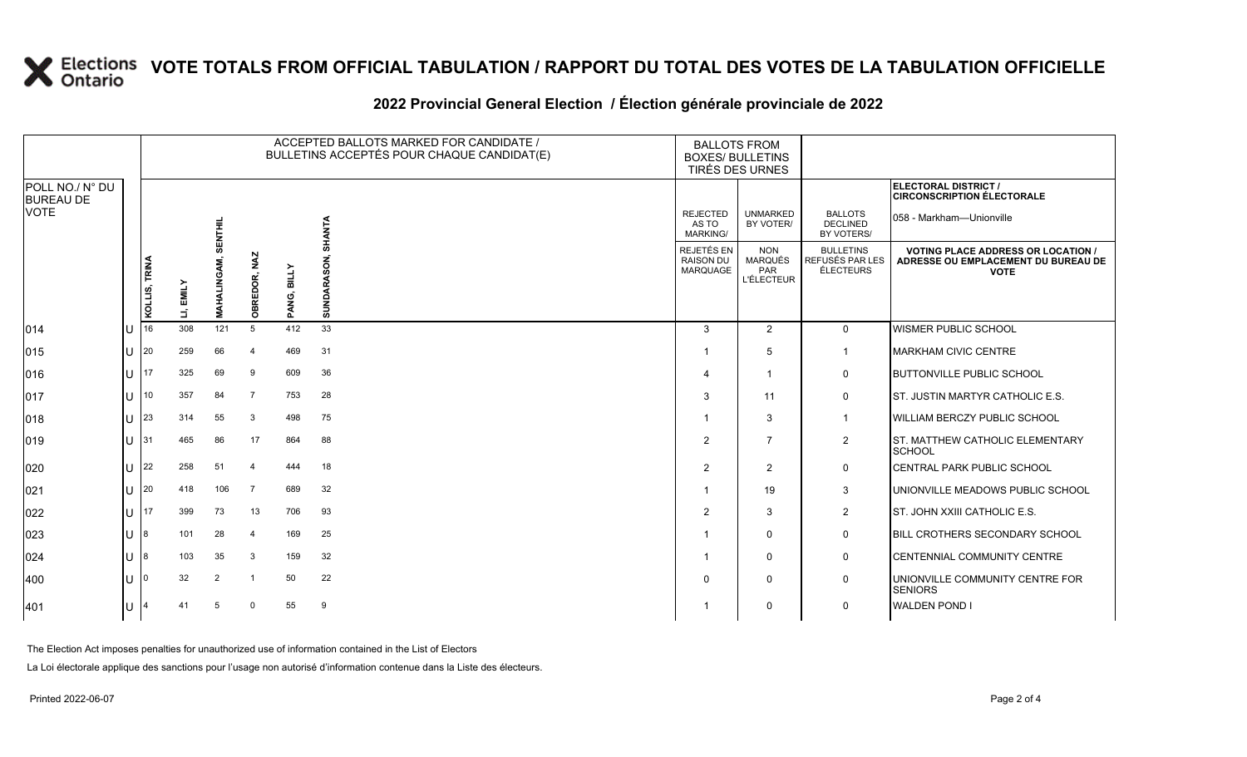### **2022 Provincial General Election / Élection générale provinciale de 2022**

|                                     |     |               |           |                    |                |                       | ACCEPTED BALLOTS MARKED FOR CANDIDATE /<br>BULLETINS ACCEPTÉS POUR CHAQUE CANDIDAT(E) | <b>BALLOTS FROM</b><br><b>BOXES/ BULLETINS</b><br>TIRÉS DES URNES |                                                          |                                                  |                                                                                                 |
|-------------------------------------|-----|---------------|-----------|--------------------|----------------|-----------------------|---------------------------------------------------------------------------------------|-------------------------------------------------------------------|----------------------------------------------------------|--------------------------------------------------|-------------------------------------------------------------------------------------------------|
| POLL NO./ N° DU<br><b>BUREAU DE</b> |     |               |           |                    |                |                       |                                                                                       |                                                                   |                                                          |                                                  | ELECTORAL DISTRICT /<br><b>CIRCONSCRIPTION ÉLECTORALE</b>                                       |
| <b>VOTE</b>                         |     |               |           | <b>SENTHIL</b>     |                |                       | SHANTA                                                                                | <b>REJECTED</b><br>AS TO<br><b>MARKING/</b>                       | <b>UNMARKED</b><br>BY VOTER/                             | <b>BALLOTS</b><br><b>DECLINED</b><br>BY VOTERS/  | 058 - Markham—Unionville                                                                        |
|                                     |     | KOLLIS, TRINA | LI, EMILY | <b>MAHALINGAM,</b> | OBREDOR, NAZ   | <b>BILLY</b><br>PANG, | SUNDARASON,                                                                           | REJETÉS EN<br><b>RAISON DU</b><br>MARQUAGE                        | <b>NON</b><br><b>MARQUÉS</b><br>PAR<br><b>L'ÉLECTEUR</b> | <b>BULLETINS</b><br>REFUSÉS PAR LES<br>ÉLECTEURS | <b>VOTING PLACE ADDRESS OR LOCATION /</b><br>ADRESSE OU EMPLACEMENT DU BUREAU DE<br><b>VOTE</b> |
| $ 014\rangle$                       | lu  | 16            | 308       | 121                | 5              | 412                   | 33                                                                                    | $\mathbf{3}$                                                      | 2                                                        | $\mathbf 0$                                      | <b>WISMER PUBLIC SCHOOL</b>                                                                     |
| $ 015\rangle$                       | lu  | 20            | 259       | 66                 | $\overline{4}$ | 469                   | 31                                                                                    |                                                                   | 5                                                        | $\overline{1}$                                   | <b>MARKHAM CIVIC CENTRE</b>                                                                     |
| $ 016\rangle$                       | Iυ  | 17            | 325       | 69                 | 9              | 609                   | 36                                                                                    |                                                                   |                                                          | 0                                                | <b>BUTTONVILLE PUBLIC SCHOOL</b>                                                                |
| 017                                 | lu  | 10            | 357       | 84                 | $\overline{7}$ | 753                   | 28                                                                                    | 3                                                                 | 11                                                       | $\mathbf 0$                                      | ST. JUSTIN MARTYR CATHOLIC E.S.                                                                 |
| $ 018\rangle$                       | lu  | 23            | 314       | 55                 | 3              | 498                   | 75                                                                                    |                                                                   | 3                                                        | $\overline{1}$                                   | WILLIAM BERCZY PUBLIC SCHOOL                                                                    |
| $ 019\rangle$                       | lu. | 31            | 465       | 86                 | 17             | 864                   | 88                                                                                    | 2                                                                 | $\overline{7}$                                           | $\overline{2}$                                   | <b>ST. MATTHEW CATHOLIC ELEMENTARY</b><br>SCHOOL                                                |
| 020                                 | lU  | 22            | 258       | 51                 |                | 444                   | 18                                                                                    | 2                                                                 | 2                                                        | $\mathbf 0$                                      | CENTRAL PARK PUBLIC SCHOOL                                                                      |
| 021                                 | lu  | 20            | 418       | 106                | - 7            | 689                   | 32                                                                                    |                                                                   | 19                                                       | 3                                                | UNIONVILLE MEADOWS PUBLIC SCHOOL                                                                |
| 022                                 | Iυ  | 17            | 399       | 73                 | 13             | 706                   | 93                                                                                    | $\overline{2}$                                                    | 3                                                        | $\overline{2}$                                   | ST. JOHN XXIII CATHOLIC E.S.                                                                    |
| 023                                 | IП  |               | 101       | 28                 | $\overline{4}$ | 169                   | 25                                                                                    |                                                                   | $\Omega$                                                 | $\mathbf 0$                                      | BILL CROTHERS SECONDARY SCHOOL                                                                  |
| 024                                 | lu  | 18            | 103       | 35                 | 3              | 159                   | 32                                                                                    |                                                                   | $\mathbf 0$                                              | 0                                                | CENTENNIAL COMMUNITY CENTRE                                                                     |
| $ 400\rangle$                       | lu  |               | 32        | 2                  | -1             | 50                    | 22                                                                                    | $\Omega$                                                          | $\Omega$                                                 | $\mathbf 0$                                      | UNIONVILLE COMMUNITY CENTRE FOR<br><b>SENIORS</b>                                               |
| 401                                 | Iυ  |               | 41        | -5                 | $\Omega$       | 55                    | 9                                                                                     |                                                                   | $\mathbf 0$                                              | 0                                                | <b>WALDEN POND I</b>                                                                            |

The Election Act imposes penalties for unauthorized use of information contained in the List of Electors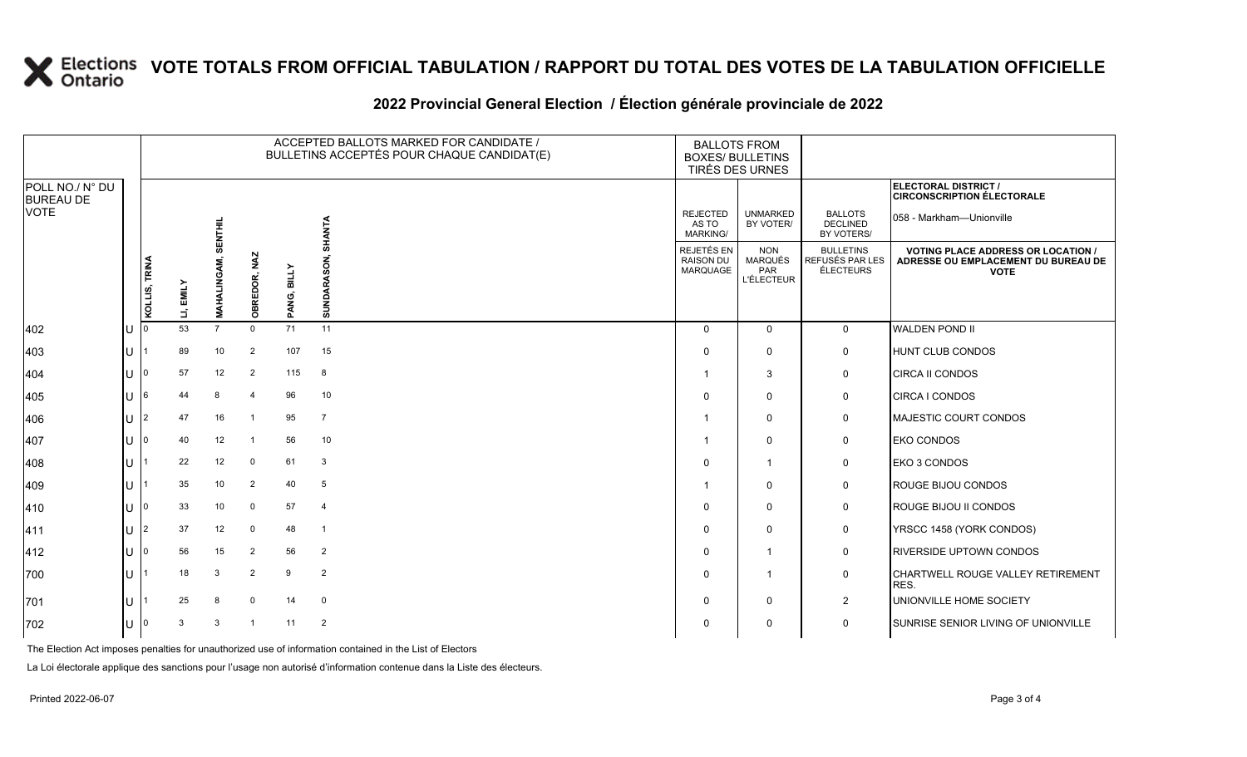### **2022 Provincial General Election / Élection générale provinciale de 2022**

|                                     |   | ACCEPTED BALLOTS MARKED FOR CANDIDATE /<br>BULLETINS ACCEPTÉS POUR CHAQUE CANDIDAT(E) |             |                 |                 |                       |                | <b>BALLOTS FROM</b><br><b>BOXES/ BULLETINS</b><br>TIRÉS DES URNES |                                                          |                                                  |                                                                                               |
|-------------------------------------|---|---------------------------------------------------------------------------------------|-------------|-----------------|-----------------|-----------------------|----------------|-------------------------------------------------------------------|----------------------------------------------------------|--------------------------------------------------|-----------------------------------------------------------------------------------------------|
| POLL NO./ N° DU<br><b>BUREAU DE</b> |   |                                                                                       |             |                 |                 |                       |                |                                                                   |                                                          |                                                  | <b>ELECTORAL DISTRICT /</b><br><b>CIRCONSCRIPTION ÉLECTORALE</b>                              |
| VOTE                                |   |                                                                                       |             | 美兰              |                 |                       | SHANTA         | <b>REJECTED</b><br>AS TO<br><b>MARKING/</b>                       | <b>UNMARKED</b><br>BY VOTER/                             | <b>BALLOTS</b><br><b>DECLINED</b><br>BY VOTERS/  | 058 - Markham—Unionville                                                                      |
|                                     |   | KOLLIS, TRINA                                                                         | EMILY<br>É, | AHALIN<br>Σ     | NAZ<br>OBREDOR, | <b>BILLY</b><br>PANG, | SUNDARASON,    | REJETÉS EN<br><b>RAISON DU</b><br><b>MARQUAGE</b>                 | <b>NON</b><br><b>MARQUÉS</b><br>PAR<br><b>L'ÉLECTEUR</b> | <b>BULLETINS</b><br>REFUSÉS PAR LES<br>ÉLECTEURS | <b>VOTING PLACE ADDRESS OR LOCATION</b><br>ADRESSE OU EMPLACEMENT DU BUREAU DE<br><b>VOTE</b> |
| 402                                 | U |                                                                                       | 53          | $\overline{7}$  | $\mathbf 0$     | 71                    | 11             | $\Omega$                                                          | $\Omega$                                                 | $\mathbf 0$                                      | <b>WALDEN POND II</b>                                                                         |
| 403                                 |   |                                                                                       | 89          | 10 <sup>1</sup> | $\overline{2}$  | 107                   | 15             | $\Omega$                                                          | $\mathbf 0$                                              | $\mathbf 0$                                      | HUNT CLUB CONDOS                                                                              |
| 404                                 |   |                                                                                       | 57          | 12              | $\overline{2}$  | 115                   | 8              | -1                                                                | 3                                                        | 0                                                | <b>CIRCA II CONDOS</b>                                                                        |
| 405                                 |   |                                                                                       | 44          | 8               | -4              | 96                    | 10             | 0                                                                 | $\mathbf 0$                                              | 0                                                | CIRCA I CONDOS                                                                                |
| 406                                 |   |                                                                                       | 47          | 16              |                 | 95                    | $\overline{7}$ | -1                                                                | $\Omega$                                                 | 0                                                | <b>MAJESTIC COURT CONDOS</b>                                                                  |
| 407                                 |   |                                                                                       | 40          | 12              |                 | 56                    | 10             | -1                                                                | $\Omega$                                                 | 0                                                | <b>EKO CONDOS</b>                                                                             |
| 408                                 |   |                                                                                       | 22          | 12              | $\mathbf 0$     | 61                    | 3              | $\Omega$                                                          | -1                                                       | 0                                                | EKO 3 CONDOS                                                                                  |
| 409                                 |   |                                                                                       | 35          | 10              | $\overline{2}$  | 40                    | 5              | -1                                                                | $\Omega$                                                 | 0                                                | <b>ROUGE BIJOU CONDOS</b>                                                                     |
| 410                                 |   |                                                                                       | 33          | 10 <sup>1</sup> | 0               | 57                    | $\overline{4}$ | $\Omega$                                                          | $\mathbf{0}$                                             | 0                                                | <b>ROUGE BIJOU II CONDOS</b>                                                                  |
| 411                                 | U | $\mathfrak{p}$                                                                        | 37          | 12              | 0               | 48                    | $\overline{1}$ | 0                                                                 | $\Omega$                                                 | 0                                                | YRSCC 1458 (YORK CONDOS)                                                                      |
| 412                                 |   |                                                                                       | 56          | 15              | $\overline{2}$  | 56                    | $\overline{2}$ | $\Omega$                                                          | $\mathbf 1$                                              | $\mathbf 0$                                      | <b>RIVERSIDE UPTOWN CONDOS</b>                                                                |
| 700                                 |   |                                                                                       | 18          | 3               | $\overline{2}$  | 9                     | $\overline{2}$ | $\Omega$                                                          | $\mathbf 1$                                              | $\mathsf{O}$                                     | CHARTWELL ROUGE VALLEY RETIREMENT<br>RES.                                                     |
| 701                                 |   |                                                                                       | 25          | 8               | $\mathbf 0$     | 14                    | $\mathbf 0$    | $\Omega$                                                          | $\mathbf 0$                                              | $\overline{2}$                                   | UNIONVILLE HOME SOCIETY                                                                       |
| 702                                 | U | 10                                                                                    | 3           | 3               | $\overline{1}$  | 11                    | $\overline{2}$ | 0                                                                 | $\Omega$                                                 | 0                                                | SUNRISE SENIOR LIVING OF UNIONVILLE                                                           |

The Election Act imposes penalties for unauthorized use of information contained in the List of Electors